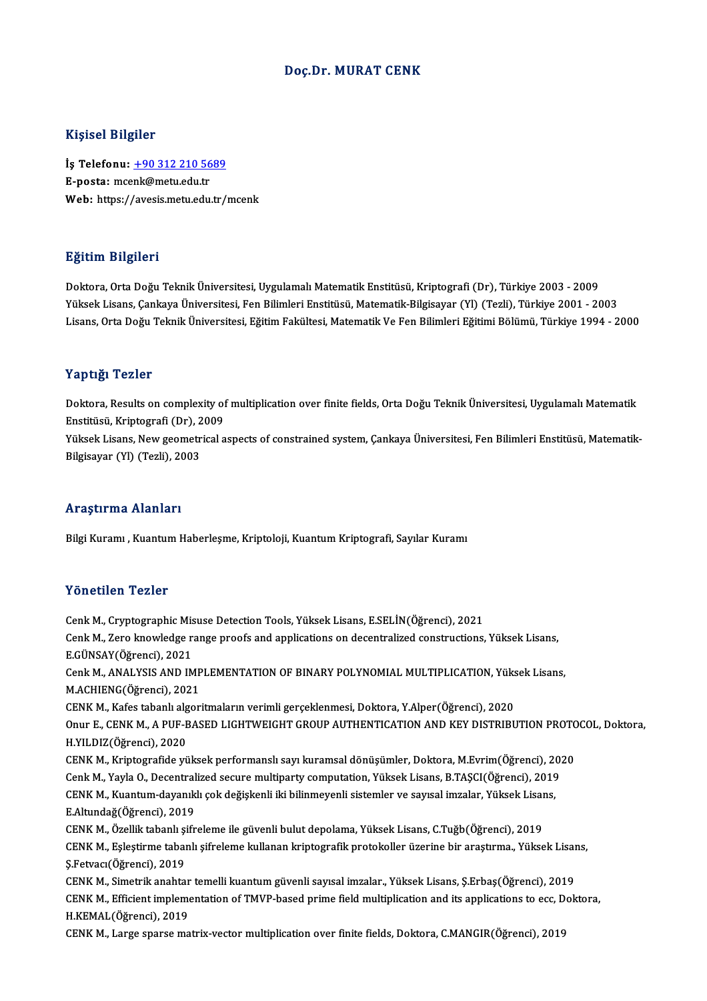## Doç.Dr. MURAT CENK

### Kişisel Bilgiler

Kişisel Bilgiler<br>İş Telefonu: <u>+90 312 210 5689</u><br>E nosta: msank@mstuedu.tr 11131011 D1151101<br>İş Telefonu: <u>+90 312 210 56</u><br>E-posta: mce[nk@metu.edu.tr](tel:+90 312 210 5689) E-posta: mcenk@metu.edu.tr<br>Web: https://avesis.metu.edu.tr/mcenk

## Eğitim Bilgileri

Doktora,OrtaDoğuTeknikÜniversitesi,UygulamalıMatematikEnstitüsü,Kriptografi (Dr),Türkiye 2003 -2009 Yüksek Lisans, Çankaya Üniversitesi, Fen Bilimleri Enstitüsü, Matematik-Bilgisayar (Yl) (Tezli), Türkiye 2001 - 2003 Lisans, Orta Doğu Teknik Üniversitesi, Eğitim Fakültesi, Matematik Ve Fen Bilimleri Eğitimi Bölümü, Türkiye 1994 - 2000

### Yaptığı Tezler

Doktora, Results on complexity of multiplication over finite fields, Orta Doğu Teknik Üniversitesi, Uygulamalı Matematik enstitusü, Kriptografi<br>Doktora, Results on complexity of<br>Enstitüsü, Kriptografi (Dr), 2009<br>Välgek Lisana, Naut geometrisel o Yüksek Lisans, New geometrical aspects of constrained system, Çankaya Üniversitesi, Fen Bilimleri Enstitüsü, Matematik-<br>Bilgisayar (Yl) (Tezli), 2003 Enstitüsü, Kriptografi (Dr), 2<br>Yüksek Lisans, New geometr<br>Bilgisayar (Yl) (Tezli), 2003

#### Araştırma Alanları

Bilgi Kuramı , Kuantum Haberleşme, Kriptoloji, Kuantum Kriptografi, Sayılar Kuramı

#### Yönetilen Tezler

CenkM.,CryptographicMisuseDetectionTools,YüksekLisans,E.SELİN(Öğrenci),2021 TONUENUN TUNUS<br>Cenk M., Cryptographic Misuse Detection Tools, Yüksek Lisans, E.SELİN(Öğrenci), 2021<br>Cenk M., Zero knowledge range proofs and applications on decentralized constructions, Yüksek Lisans,<br>E.CÜNSAV(Öğrenci), 20 Cenk M., Cryptographic Mis<br>Cenk M., Zero knowledge r<br>E.GÜNSAY(Öğrenci), 2021<br>Cenk M. ANAI YSIS AND IM Cenk M., Zero knowledge range proofs and applications on decentralized constructions, Yüksek Lisans,<br>E.GÜNSAY(Öğrenci), 2021<br>Cenk M., ANALYSIS AND IMPLEMENTATION OF BINARY POLYNOMIAL MULTIPLICATION, Yüksek Lisans,<br>M ACHIEN E.GÜNSAY(Öğrenci), 2021<br>Cenk M., ANALYSIS AND IMP<br>M.ACHIENG(Öğrenci), 2021<br>CENK M. Kafes tabanlı alsan Cenk M., ANALYSIS AND IMPLEMENTATION OF BINARY POLYNOMIAL MULTIPLICATION, Yüks<br>M.ACHIENG(Öğrenci), 2021<br>CENK M., Kafes tabanlı algoritmaların verimli gerçeklenmesi, Doktora, Y.Alper(Öğrenci), 2020<br>Onur E. CENK M. A BUE BAS M.ACHIENG(Öğrenci), 2021<br>CENK M., Kafes tabanlı algoritmaların verimli gerçeklenmesi, Doktora, Y.Alper(Öğrenci), 2020<br>Onur E., CENK M., A PUF-BASED LIGHTWEIGHT GROUP AUTHENTICATION AND KEY DISTRIBUTION PROTOCOL, Doktora,<br>H CENK M., Kafes tabanlı alg<br>Onur E., CENK M., A PUF-E<br>H.YILDIZ(Öğrenci), 2020<br>CENK M. Krintografide yü Onur E., CENK M., A PUF-BASED LIGHTWEIGHT GROUP AUTHENTICATION AND KEY DISTRIBUTION PROTC<br>H.YILDIZ(Öğrenci), 2020<br>CENK M., Kriptografide yüksek performanslı sayı kuramsal dönüşümler, Doktora, M.Evrim(Öğrenci), 2020<br>Cenk M. H.YILDIZ(Öğrenci), 2020<br>CENK M., Kriptografide yüksek performanslı sayı kuramsal dönüşümler, Doktora, M.Evrim(Öğrenci), 201<br>CENK M., Yayla O., Decentralized secure multiparty computation, Yüksek Lisans, B.TAŞCI(Öğrenci), 2 CENK M., Kriptografide yüksek performanslı sayı kuramsal dönüşümler, Doktora, M.Evrim(Öğrenci), 20<br>Cenk M., Yayla O., Decentralized secure multiparty computation, Yüksek Lisans, B.TAŞCI(Öğrenci), 2019<br>CENK M., Kuantum-daya Cenk M., Yayla O., Decentralized secure multiparty computation, Yüksek Lisans, B.TAŞCI(Öğrenci), 2019<br>CENK M., Kuantum-dayanıklı çok değişkenli iki bilinmeyenli sistemler ve sayısal imzalar, Yüksek Lisans,<br>E.Altundağ(Öğren CENK M., Kuantum-dayanıklı çok değişkenli iki bilinmeyenli sistemler ve sayısal imzalar, Yüksek Lisans, E.Altundağ(Öğrenci), 2019<br>CENK M., Özellik tabanlı şifreleme ile güvenli bulut depolama, Yüksek Lisans, C.Tuğb(Öğrenci), 2019<br>CENK M., Eşleştirme tabanlı şifreleme kullanan kriptografik protokoller üzerine bir araştırma., Ş.Fetvacı(Öğrenci),2019 CENK M., Eşleştirme tabanlı şifreleme kullanan kriptografik protokoller üzerine bir araştırma., Yüksek Lisan<br>Ş.Fetvacı(Öğrenci), 2019<br>CENK M., Simetrik anahtar temelli kuantum güvenli sayısal imzalar., Yüksek Lisans, Ş.Erb Ş.Fetvacı(Öğrenci), 2019<br>CENK M., Simetrik anahtar temelli kuantum güvenli sayısal imzalar., Yüksek Lisans, Ş.Erbaş(Öğrenci), 2019<br>CENK M., Efficient implementation of TMVP-based prime field multiplication and its applicat CENK M., Simetrik anahtar temelli kuantum güvenli sayısal imzalar., Yüksek Lisans, Ş.Erbaş(Öğrenci), 2019<br>CENK M., Efficient implementation of TMVP-based prime field multiplication and its applications to ecc, Dol<br>H.KEMAL( CENK M., Efficient implementation of TMVP-based prime field multiplication and its applications to ecc, D<br>H.KEMAL(Öğrenci), 2019<br>CENK M., Large sparse matrix-vector multiplication over finite fields, Doktora, C.MANGIR(Öğre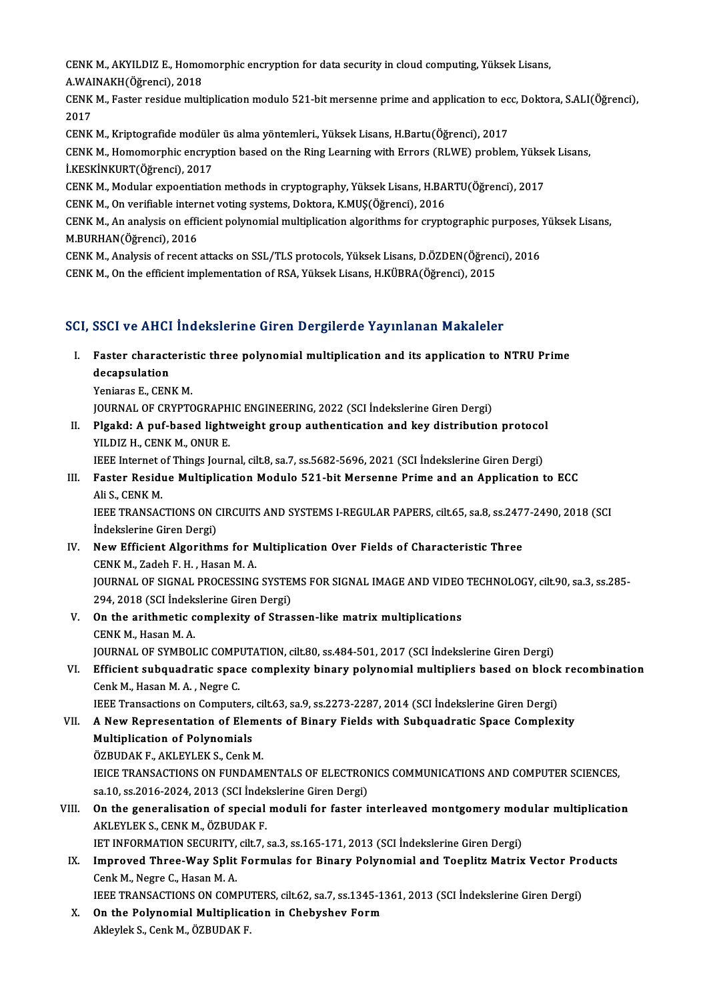CENK M., AKYILDIZ E., Homomorphic encryption for data security in cloud computing, Yüksek Lisans,<br>A WAINAKH(Öğrensi), 2019 CENK M., AKYILDIZ E., Homo:<br>A.WAINAKH(Öğrenci), 2018<br>CENK M. Fastar residue mult A WAINAKH (Öğrenci), 2018

CENK M., Faster residue multiplication modulo 521-bit mersenne prime and application to ecc, Doktora, S.ALI(Öğrenci),<br>2017 CENK M., Faster residue multiplication modulo 521-bit mersenne prime and application to ec<br>2017<br>CENK M., Kriptografide modüler üs alma yöntemleri., Yüksek Lisans, H.Bartu(Öğrenci), 2017<br>CENK M., Homomorphis oneruntion base

2017<br>CENK M., Kriptografide modüler üs alma yöntemleri., Yüksek Lisans, H.Bartu(Öğrenci), 2017<br>CENK M., Homomorphic encryption based on the Ring Learning with Errors (RLWE) problem, Yüksek Lisans,<br>LKESKİNKURT(Öğrenci), 201 CENK M., Kriptografide modüle<br>CENK M., Homomorphic encryp<br>İ.KESKİNKURT(Öğrenci), 2017<br>CENK M. Modular expectistic CENK M., Homomorphic encryption based on the Ring Learning with Errors (RLWE) problem, Yükse<br>LKESKİNKURT(Öğrenci), 2017<br>CENK M., Modular expoentiation methods in cryptography, Yüksek Lisans, H.BARTU(Öğrenci), 2017<br>CENK M.

İ.KESKİNKURT(Öğrenci), 2017<br>CENK M., Modular expoentiation methods in cryptography, Yüksek Lisans, H.BARTU(Öğrenci), 2017<br>CENK M., On verifiable internet voting systems, Doktora, K.MUŞ(Öğrenci), 2016

CENK M., Modular expoentiation methods in cryptography, Yüksek Lisans, H.BARTU(Öğrenci), 2017<br>CENK M., On verifiable internet voting systems, Doktora, K.MUŞ(Öğrenci), 2016<br>CENK M., An analysis on efficient polynomial multi CENK M., On verifiable interi<br>CENK M., An analysis on effi<br>M.BURHAN(Öğrenci), 2016<br>CENK M. Analysis of resent CENK M., An analysis on efficient polynomial multiplication algorithms for cryptographic purposes, 'M.BURHAN(Öğrenci), 2016<br>M.BURHAN(Öğrenci), 2016<br>CENK M., Analysis of recent attacks on SSL/TLS protocols, Yüksek Lisans, D

M.BURHAN(Öğrenci), 2016<br>CENK M., Analysis of recent attacks on SSL/TLS protocols, Yüksek Lisans, D.ÖZDEN(Öğrenci), 2016<br>CENK M., On the efficient implementation of RSA, Yüksek Lisans, H.KÜBRA(Öğrenci), 2015

## SCI, SSCI ve AHCI İndekslerine Giren Dergilerde Yayınlanan Makaleler

- I. Faster characteristic three polynomialmultiplication and its application to NTRU Prime **BBBFFERITHER**<br>Faster charact<br>decapsulation<br>Voriance E. CEN **Faster characteris<br>decapsulation<br>Yeniaras E., CENK M.<br>JOUPMAL OF CPVPTC** decapsulation<br>Yeniaras E., CENK M.<br>JOURNAL OF CRYPTOGRAPHIC ENGINEERING, 2022 (SCI İndekslerine Giren Dergi)<br>Plaakd: A nuf based lishtweisht sreun authentisation and kev distribution
	-

Yeniaras E., CENK M.<br>JOURNAL OF CRYPTOGRAPHIC ENGINEERING, 2022 (SCI Indekslerine Giren Dergi)<br>II. Plgakd: A puf-based lightweight group authentication and key distribution protocol<br>VII DIZ H. CENK M. ONUP E **JOURNAL OF CRYPTOGRAPH<br>Plgakd: A puf-based light<br>YILDIZ H., CENK M., ONUR E.**<br>JEEE Internet of Things Journ Plgakd: A puf-based lightweight group authentication and key distribution protocol<br>IEEE Internet of Things Journal, cilt.8, sa.7, ss.5682-5696, 2021 (SCI İndekslerine Giren Dergi)<br>Fastar Basidue Multiplisation Module 521 b

IEEE Internet of Things Journal, cilt.8, sa.7, ss.5682-5696, 2021 (SCI Indekslerine Giren Dergi)

## YILDIZ H., CENK M., ONUR E.<br>IEEE Internet of Things Journal, cilt.8, sa.7, ss.5682-5696, 2021 (SCI Indekslerine Giren Dergi)<br>III. Faster Residue Multiplication Modulo 521-bit Mersenne Prime and an Application to ECC<br>Ali S. Faster Residue Multiplication Modulo 521-bit Mersenne Prime and an Application to ECC<br>Ali S., CENK M.<br>IEEE TRANSACTIONS ON CIRCUITS AND SYSTEMS I-REGULAR PAPERS, cilt.65, sa.8, ss.2477-2490, 2018 (SCI<br>Indekslerine Ciren De

Ali S., CENK M.<br>IEEE TRANSACTIONS ON C<br>İndekslerine Giren Dergi)<br>Novy Efficiant Algonithn IEEE TRANSACTIONS ON CIRCUITS AND SYSTEMS I-REGULAR PAPERS, cilt.65, sa.8, ss.247<br>
Indekslerine Giren Dergi)<br>
IV. New Efficient Algorithms for Multiplication Over Fields of Characteristic Three<br>
CENY M. Zadab E. H. Hasan M

## İndekslerine Giren Dergi)<br>IV. New Efficient Algorithms for Multiplication Over Fields of Characteristic Three<br>CENK M., Zadeh F. H., Hasan M. A. New Efficient Algorithms for Multiplication Over Fields of Characteristic Three<br>CENK M., Zadeh F. H. , Hasan M. A.<br>JOURNAL OF SIGNAL PROCESSING SYSTEMS FOR SIGNAL IMAGE AND VIDEO TECHNOLOGY, cilt.90, sa.3, ss.285-<br>204, 201

CENK M., Zadeh F. H. , Hasan M. A.<br>JOURNAL OF SIGNAL PROCESSING SYSTEI<br>294, 2018 (SCI İndekslerine Giren Dergi)<br>On the arithmetis semplerity of Stras 294, 2018 (SCI İndekslerine Giren Dergi)

V. On the arithmetic complexity of Strassen-like matrix multiplications<br>CENK M. Hasan M. A. JOURNALOF SYMBOLICCOMPUTATION, cilt.80, ss.484-501,2017 (SCI İndekslerineGirenDergi)

## CENK M., Hasan M. A.<br>JOURNAL OF SYMBOLIC COMPUTATION, cilt80, ss.484-501, 2017 (SCI İndekslerine Giren Dergi)<br>VI. Efficient subquadratic space complexity binary polynomial multipliers based on block recombination<br>Conk M. H JOURNAL OF SYMBOLIC COMP<br>Efficient subquadratic spac<br>Cenk M., Hasan M. A. , Negre C.<br><sup>LEEE Transactions</sup> on Compute Efficient subquadratic space complexity binary polynomial multipliers based on block<br>Cenk M., Hasan M. A. , Negre C.<br>IEEE Transactions on Computers, cilt.63, sa.9, ss.2273-2287, 2014 (SCI İndekslerine Giren Dergi)<br>A Now Be

## Cenk M., Hasan M. A. , Negre C.<br>IEEE Transactions on Computers, cilt.63, sa.9, ss.2273-2287, 2014 (SCI İndekslerine Giren Dergi)<br>VII. A New Representation of Elements of Binary Fields with Subquadratic Space Complexity **IEEE Transactions on Computers,<br>A New Representation of Elen<br>Multiplication of Polynomials<br>ÖZPUDAKE AKLEVLEKS CONLI** A New Representation of Eleme<br>Multiplication of Polynomials<br>ÖZBUDAK F., AKLEYLEK S., Cenk M.<br>IEICE TRANSACTIONS ON EUNDAM

Multiplication of Polynomials<br>ÖZBUDAK F., AKLEYLEK S., Cenk M.<br>IEICE TRANSACTIONS ON FUNDAMENTALS OF ELECTRONICS COMMUNICATIONS AND COMPUTER SCIENCES,<br>22.1.0. SS 2016, 2024, 2012, (SCI Indeksloping Circa Dergi) ÖZBUDAK F., AKLEYLEK S., Cenk M.<br>IEICE TRANSACTIONS ON FUNDAMENTALS OF ELECTRON<br>sa.10, ss.2016-2024, 2013 (SCI İndekslerine Giren Dergi)<br>On the seneralisation of spesial moduli for fastar i IEICE TRANSACTIONS ON FUNDAMENTALS OF ELECTRONICS COMMUNICATIONS AND COMPUTER SCIENCES,<br>sa.10, ss.2016-2024, 2013 (SCI indekslerine Giren Dergi)<br>VIII. On the generalisation of special moduli for faster interleaved montgome

sa.10, ss.2016-2024, 2013 (SCI İndel<br>On the generalisation of special<br>AKLEYLEK S., CENK M., ÖZBUDAK F.<br>JET INFORMATION SECURITY silt 7 On the generalisation of special moduli for faster interleaved montgomery mod<br>AKLEYLEK S., CENK M., ÖZBUDAK F.<br>IET INFORMATION SECURITY, cilt.7, sa.3, ss.165-171, 2013 (SCI İndekslerine Giren Dergi)<br>Imnusued Thuee Wey Sali

AKLEYLEK S., CENK M., ÖZBUDAK F.<br>IET INFORMATION SECURITY, cilt.7, sa.3, ss.165-171, 2013 (SCI İndekslerine Giren Dergi)<br>IX. Improved Three-Way Split Formulas for Binary Polynomial and Toeplitz Matrix Vector Products<br>Cenk **IET INFORMATION SECURITY,<br>Improved Three-Way Split<br>Cenk M., Negre C., Hasan M. A.**<br>IEEE TRANSACTIONS ON COM Improved Three-Way Split Formulas for Binary Polynomial and Toeplitz Matrix Vector Pro<br>Cenk M., Negre C., Hasan M. A.<br>IEEE TRANSACTIONS ON COMPUTERS, cilt.62, sa.7, ss.1345-1361, 2013 (SCI İndekslerine Giren Dergi)<br>On the

Cenk M., Negre C., Hasan M. A.<br>IEEE TRANSACTIONS ON COMPUTERS, cilt.62, sa.7, ss.1345-1<br>X. On the Polynomial Multiplication in Chebyshev Form IEEE TRANSACTIONS ON COMPU<br><mark>On the Polynomial Multiplica</mark><br>Akleylek S., Cenk M., ÖZBUDAK F.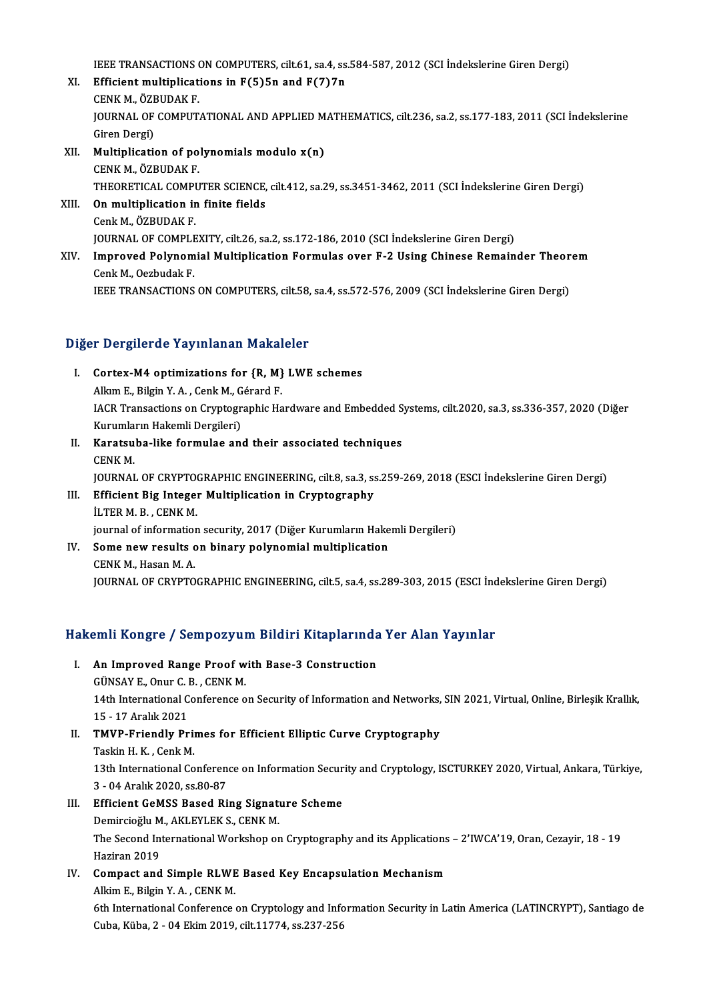IEEE TRANSACTIONS ON COMPUTERS, cilt.61, sa.4, ss.584-587, 2012 (SCI İndekslerine Giren Dergi)<br>Efficient multipliestions in E(E)En and E(7)7n

- XI. Efficient multiplications in  $F(5)$ 5n and  $F(7)$ 7n **IEEE TRANSACTIONS<br>Efficient multiplicat<br>CENK M., ÖZBUDAK F.<br>JOUPNAL OF COMBUT** JOURNAL OF COMPUTATIONAL AND APPLIED MATHEMATICS, cilt.236, sa.2, ss.177-183, 2011 (SCI İndekslerine<br>Giren Dergi) CENK M., ÖZBUDAK F. JOURNAL OF COMPUTATIONAL AND APPLIED M<br>Giren Dergi)<br>XII. **Multiplication of polynomials modulo x(n)**<br>CENK M ÖZPUDAK E
- Giren Dergi)<br>Multiplication of po<br>CENK M., ÖZBUDAK F.<br>THEOPETICAL COMPU Multiplication of polynomials modulo x(n)<br>CENK M., ÖZBUDAK F.<br>THEORETICAL COMPUTER SCIENCE, cilt.412, sa.29, ss.3451-3462, 2011 (SCI İndekslerine Giren Dergi)<br>On multiplication in finite fields CENK M., ÖZBUDAK F.<br>THEORETICAL COMPUTER SCIENCE,<br>XIII. **On multiplication in finite fields**<br>Cenk M., ÖZBUDAK F.
- THEORETICAL COMPI<br>On multiplication ir<br>Cenk M., ÖZBUDAK F.<br>JOUPNAL OF COMPI E On multiplication in finite fields<br>Cenk M., ÖZBUDAK F.<br>JOURNAL OF COMPLEXITY, cilt.26, sa.2, ss.172-186, 2010 (SCI İndekslerine Giren Dergi)<br>Imnrovad Bolunomial Multiplication Formulas ovar F.2 Heing Chinese Bomain
- XIV. Improved Polynomial Multiplication Formulas over F-2 Using Chinese Remainder Theorem<br>Cenk M., Oezbudak F. **JOURNAL OF COMPLE<br>Improved Polynom<br>Cenk M., Oezbudak F.<br>IEEE TRANSACTIONS** IEEE TRANSACTIONS ON COMPUTERS, cilt.58, sa.4, ss.572-576, 2009 (SCI İndekslerine Giren Dergi)

## Diğer Dergilerde Yayınlanan Makaleler

- I. Cortex-M4 optimizations for {R,M} LWE schemes Alkım E., Bilgin Y.A., Cenk M., Gérard F.<br>Alkım E., Bilgin Y.A., Cenk M., Gérard F.<br>ACP Transactions on Cruntographic Ha IACR Transactions on Cryptographic Hardware and Embedded Systems, cilt.2020, sa.3, ss.336-357, 2020 (Diğer Kurumların Hakemli Dergileri) Alkım E., Bilgin Y. A. , Cenk M., G<br>IACR Transactions on Cryptogr<br>Kurumların Hakemli Dergileri)<br>Kanatauba Jika farmulae anı IACR Transactions on Cryptographic Hardware and Embedded S.<br>Kurumların Hakemli Dergileri)<br>II. Karatsuba-like formulae and their associated techniques<br>CENK M
- Kurumla<br><mark>Karatsu</mark><br>CENK M.<br>IOUPNAI Karatsuba-like formulae and their associated techniques<br>CENK M.<br>JOURNAL OF CRYPTOGRAPHIC ENGINEERING, cilt.8, sa.3, ss.259-269, 2018 (ESCI İndekslerine Giren Dergi)<br>Efficient Biz Integer Multinlisation in Cryptography CENK M.<br>JOURNAL OF CRYPTOGRAPHIC ENGINEERING, cilt.8, sa.3, ss<br>III. Efficient Big Integer Multiplication in Cryptography<br>II.TER M. B. CENK M.
- **JOURNAL OF CRYPTO<br>Efficient Big Integer<br>İLTER M. B. , CENK M.<br>iournal of information** III. Efficient Big Integer Multiplication in Cryptography<br>İLTER M. B., CENK M.<br>journal of information security, 2017 (Diğer Kurumların Hakemli Dergileri) ILTER M. B., CENK M.<br>journal of information security, 2017 (Diğer Kurumların Hake<br>IV. Some new results on binary polynomial multiplication<br>CENK M. Hosen M. A.
- iournal of information<br>Some new results of<br>CENK M., Hasan M. A.<br>JOUPNAL OF CPYPTO CENK M., Hasan M. A.<br>JOURNAL OF CRYPTOGRAPHIC ENGINEERING, cilt.5, sa.4, ss.289-303, 2015 (ESCI İndekslerine Giren Dergi)

# JOOKNAL OF CKTPTOGKAPHIC ENGINEEKING, CILS, Sa.4, SS.289-303, 2015 (ESCI Inc<br>Hakemli Kongre / Sempozyum Bildiri Kitaplarında Yer Alan Yayınlar

- akemli Kongre / Sempozyum Bildiri Kitaplarında<br>I. An Improved Range Proof with Base-3 Construction I. An Improved Range Proof with Base-3 Construction 14th International Conference on Security of Information and Networks, SIN 2021, Virtual, Online, Birleşik Krallık,<br>15 - 17 Aralık 2021 GÜNSAY E, Onur C. B., CENK M. 14th International Conference on Security of Information and Networks,<br>15 - 17 Aralık 2021<br>II. TMVP-Friendly Primes for Efficient Elliptic Curve Cryptography<br>Tackin H K. Conk M
- 15 17 Aralık 2021<br>TMVP-Friendly Prin<br>Taskin H. K. , Cenk M.<br>12th International Co TMVP-Friendly Primes for Efficient Elliptic Curve Cryptography<br>Taskin H. K. , Cenk M.<br>13th International Conference on Information Security and Cryptology, ISCTURKEY 2020, Virtual, Ankara, Türkiye,<br>2...04 Analyk 2020, ss 8 Taskin H. K. , Cenk M.<br>13th International Conferen<br>3 - 04 Aralık 2020, ss.80-87<br>Efficient CeMSS Besed Bi 3 - 04 Aralık 2020, ss.80-87<br>III. Efficient GeMSS Based Ring Signature Scheme
- Demircioğlu M., AKLEYLEK S., CENK M. Efficient GeMSS Based Ring Signature Scheme<br>Demircioğlu M., AKLEYLEK S., CENK M.<br>The Second International Workshop on Cryptography and its Applications – 2'IWCA'19, Oran, Cezayir, 18 - 19<br>Harinan 2010 Demircioğlu M<br>The Second In<br>Haziran 2019<br>Compact and The Second International Workshop on Cryptography and its Applications<br>Haziran 2019<br>IV. Compact and Simple RLWE Based Key Encapsulation Mechanism<br>Alltim E. Bilgin Y. A., CENK M
- Haziran 2019<br>IV. Compact and Simple RLWE Based Key Encapsulation Mechanism<br>Alkim E., Bilgin Y. A., CENK M. 6th International Conference on Cryptology and Information Security in Latin America (LATINCRYPT), Santiago de Cuba,Küba,2 -04Ekim2019, cilt.11774, ss.237-256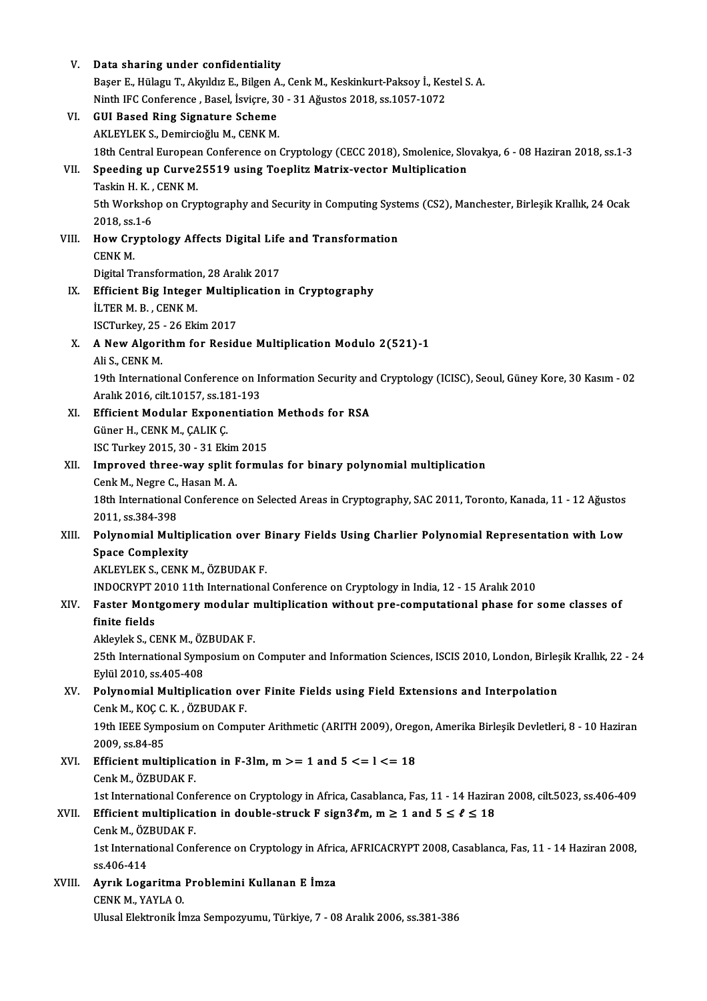| V.     | Data sharing under confidentiality                                                                                |
|--------|-------------------------------------------------------------------------------------------------------------------|
|        | Başer E., Hülagu T., Akyıldız E., Bilgen A., Cenk M., Keskinkurt-Paksoy İ., Kestel S. A.                          |
|        | Ninth IFC Conference, Basel, İsviçre, 30 - 31 Ağustos 2018, ss.1057-1072                                          |
| VI.    | <b>GUI Based Ring Signature Scheme</b>                                                                            |
|        | AKLEYLEK S., Demircioğlu M., CENK M.                                                                              |
|        | 18th Central European Conference on Cryptology (CECC 2018), Smolenice, Slovakya, 6 - 08 Haziran 2018, ss.1-3      |
| VII.   | Speeding up Curve25519 using Toeplitz Matrix-vector Multiplication                                                |
|        | Taskin H. K., CENK M.                                                                                             |
|        | 5th Workshop on Cryptography and Security in Computing Systems (CS2), Manchester, Birleşik Krallık, 24 Ocak       |
|        | 2018, ss 1-6                                                                                                      |
| VIII.  | How Cryptology Affects Digital Life and Transformation                                                            |
|        | CENK M.                                                                                                           |
|        | Digital Transformation, 28 Aralık 2017                                                                            |
| IX.    | Efficient Big Integer Multiplication in Cryptography                                                              |
|        | <b>İLTER M. B., CENK M.</b>                                                                                       |
|        | ISCTurkey, 25 - 26 Ekim 2017                                                                                      |
| Χ.     | A New Algorithm for Residue Multiplication Modulo 2(521)-1                                                        |
|        | Ali S., CENK M.                                                                                                   |
|        | 19th International Conference on Information Security and Cryptology (ICISC), Seoul, Güney Kore, 30 Kasım - 02    |
|        | Aralık 2016, cilt 10157, ss. 181-193                                                                              |
| XI.    | <b>Efficient Modular Exponentiation Methods for RSA</b><br>Güner H., CENK M., ÇALIK Ç.                            |
|        | ISC Turkey 2015, 30 - 31 Ekim 2015                                                                                |
| XII.   | Improved three-way split formulas for binary polynomial multiplication                                            |
|        | Cenk M., Negre C., Hasan M. A.                                                                                    |
|        | 18th International Conference on Selected Areas in Cryptography, SAC 2011, Toronto, Kanada, 11 - 12 Ağustos       |
|        | 2011, ss 384-398                                                                                                  |
| XIII.  | Polynomial Multiplication over Binary Fields Using Charlier Polynomial Representation with Low                    |
|        | <b>Space Complexity</b>                                                                                           |
|        | AKLEYLEK S., CENK M., ÖZBUDAK F.                                                                                  |
|        | INDOCRYPT 2010 11th International Conference on Cryptology in India, 12 - 15 Aralık 2010                          |
| XIV.   | Faster Montgomery modular multiplication without pre-computational phase for some classes of                      |
|        | finite fields                                                                                                     |
|        | Akleylek S., CENK M., ÖZBUDAK F.                                                                                  |
|        | 25th International Symposium on Computer and Information Sciences, ISCIS 2010, London, Birleşik Krallık, 22 - 24  |
|        | Eylül 2010, ss.405-408                                                                                            |
| XV.    | Polynomial Multiplication over Finite Fields using Field Extensions and Interpolation                             |
|        | Cenk M., KOC C. K., ÖZBUDAK F.                                                                                    |
|        | 19th IEEE Symposium on Computer Arithmetic (ARITH 2009), Oregon, Amerika Birleşik Devletleri, 8 - 10 Haziran      |
|        | 2009, ss 84-85                                                                                                    |
| XVI.   | Efficient multiplication in F-3lm, $m >= 1$ and $5 <= l <= 18$                                                    |
|        | Cenk M, ÖZBUDAK F                                                                                                 |
|        | 1st International Conference on Cryptology in Africa, Casablanca, Fas, 11 - 14 Haziran 2008, cilt5023, ss.406-409 |
| XVII.  | Efficient multiplication in double-struck F sign3 $\ell$ m, m $\geq 1$ and $5 \leq \ell \leq 18$                  |
|        | Cenk M, ÖZBUDAK F                                                                                                 |
|        | 1st International Conference on Cryptology in Africa, AFRICACRYPT 2008, Casablanca, Fas, 11 - 14 Haziran 2008,    |
| XVIII. | ss 406-414<br>Ayrık Logaritma Problemini Kullanan E İmza                                                          |
|        | CENK M., YAYLA O                                                                                                  |
|        | Ulusal Elektronik İmza Sempozyumu, Türkiye, 7 - 08 Aralık 2006, ss.381-386                                        |
|        |                                                                                                                   |